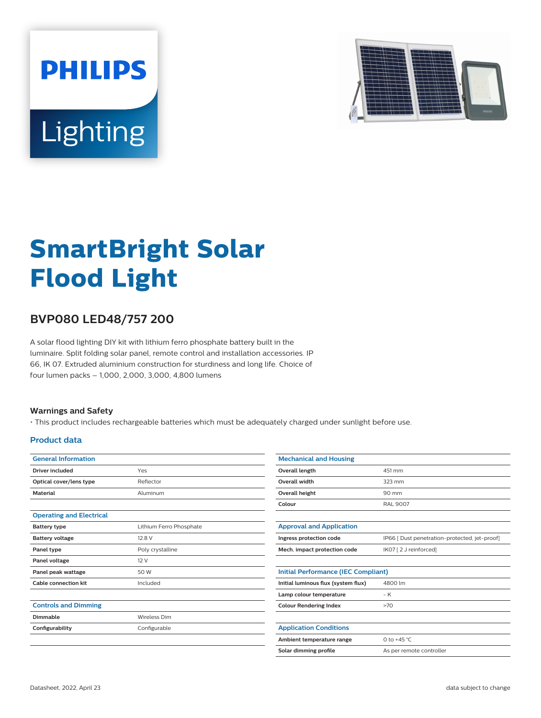



# **SmartBright Solar Flood Light**

# **BVP080 LED48/757 200**

A solar flood lighting DIY kit with lithium ferro phosphate battery built in the luminaire. Split folding solar panel, remote control and installation accessories. IP 66, IK 07. Extruded aluminium construction for sturdiness and long life. Choice of four lumen packs – 1,000, 2,000, 3,000, 4,800 lumens

### **Warnings and Safety**

• This product includes rechargeable batteries which must be adequately charged under sunlight before use.

## **Product data**

| <b>General Information</b>      |                         |
|---------------------------------|-------------------------|
| Driver included                 | Yes                     |
| Optical cover/lens type         | Reflector               |
| <b>Material</b>                 | Aluminum                |
|                                 |                         |
| <b>Operating and Electrical</b> |                         |
| <b>Battery type</b>             | Lithium Ferro Phosphate |
| <b>Battery voltage</b>          | 12.8 V                  |
| Panel type                      | Poly crystalline        |
| Panel voltage                   | 12V                     |
| Panel peak wattage              | 50 W                    |
| <b>Cable connection kit</b>     | Included                |
|                                 |                         |
| <b>Controls and Dimming</b>     |                         |
| Dimmable                        | <b>Wireless Dim</b>     |
| Configurability                 | Configurable            |
|                                 |                         |
|                                 |                         |

| <b>Mechanical and Housing</b>              |                                               |  |  |  |
|--------------------------------------------|-----------------------------------------------|--|--|--|
| Overall length                             | 451 mm                                        |  |  |  |
| <b>Overall width</b>                       | 323 mm                                        |  |  |  |
| Overall height                             | 90 mm                                         |  |  |  |
| Colour                                     | RAL 9007                                      |  |  |  |
|                                            |                                               |  |  |  |
| <b>Approval and Application</b>            |                                               |  |  |  |
| Ingress protection code                    | IP66 [ Dust penetration-protected, jet-proof] |  |  |  |
| Mech. impact protection code               | IK07 [2 J reinforced]                         |  |  |  |
|                                            |                                               |  |  |  |
| <b>Initial Performance (IEC Compliant)</b> |                                               |  |  |  |
| Initial luminous flux (system flux)        | 4800 lm                                       |  |  |  |
| Lamp colour temperature                    | $-K$                                          |  |  |  |
| <b>Colour Rendering Index</b>              | >70                                           |  |  |  |
|                                            |                                               |  |  |  |
| <b>Application Conditions</b>              |                                               |  |  |  |
| Ambient temperature range                  | 0 to $+45$ °C                                 |  |  |  |
| Solar dimming profile                      | As per remote controller                      |  |  |  |
|                                            |                                               |  |  |  |